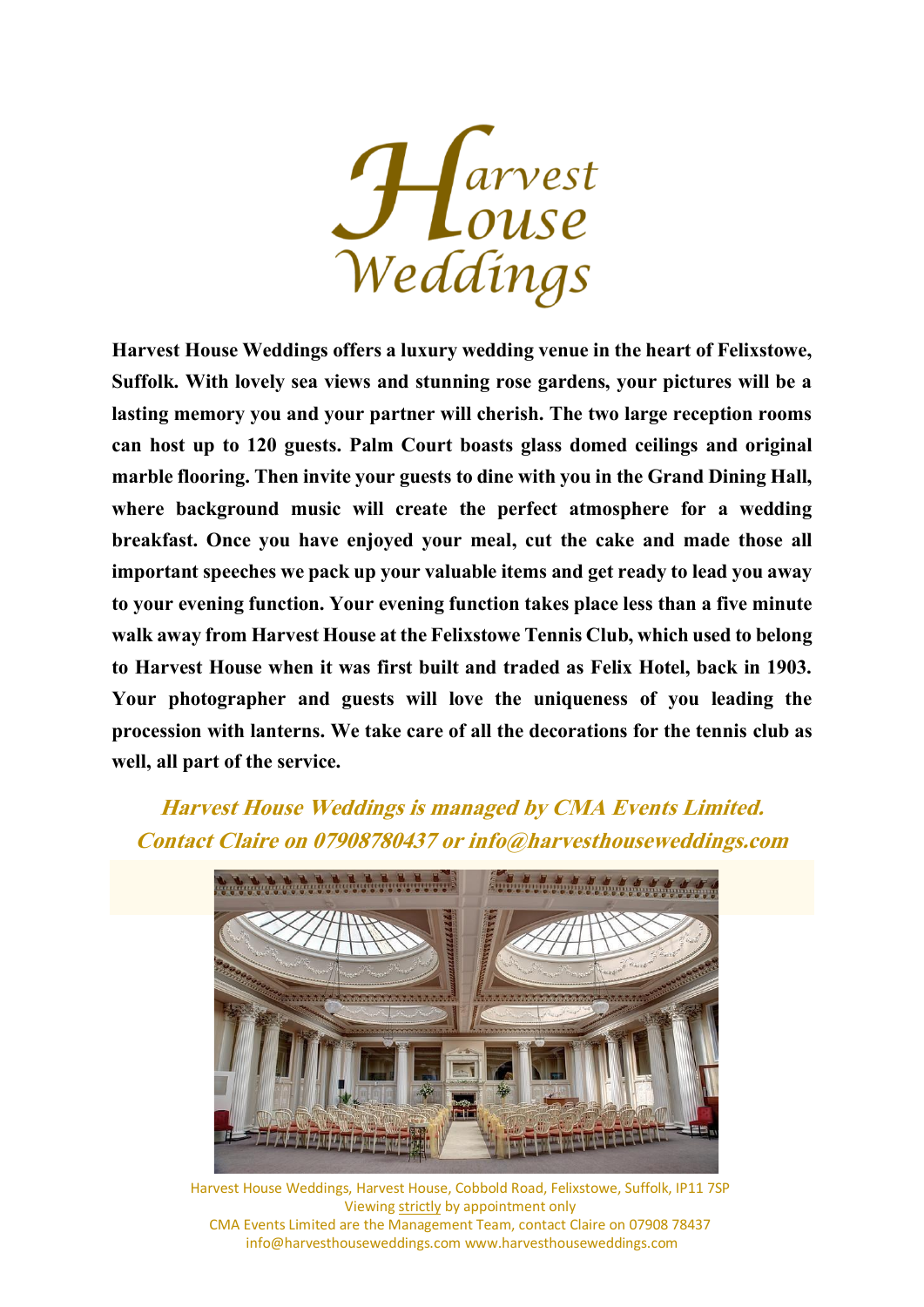

Harvest House Weddings offers a luxury wedding venue in the heart of Felixstowe, Suffolk. With lovely sea views and stunning rose gardens, your pictures will be a lasting memory you and your partner will cherish. The two large reception rooms can host up to 120 guests. Palm Court boasts glass domed ceilings and original marble flooring. Then invite your guests to dine with you in the Grand Dining Hall, where background music will create the perfect atmosphere for a wedding breakfast. Once you have enjoyed your meal, cut the cake and made those all important speeches we pack up your valuable items and get ready to lead you away to your evening function. Your evening function takes place less than a five minute walk away from Harvest House at the Felixstowe Tennis Club, which used to belong to Harvest House when it was first built and traded as Felix Hotel, back in 1903. Your photographer and guests will love the uniqueness of you leading the procession with lanterns. We take care of all the decorations for the tennis club as well, all part of the service.

## **Harvest House Weddings is managed by CMA Events Limited. Contact Claire on 07908780437 or info@harvesthouseweddings.com**

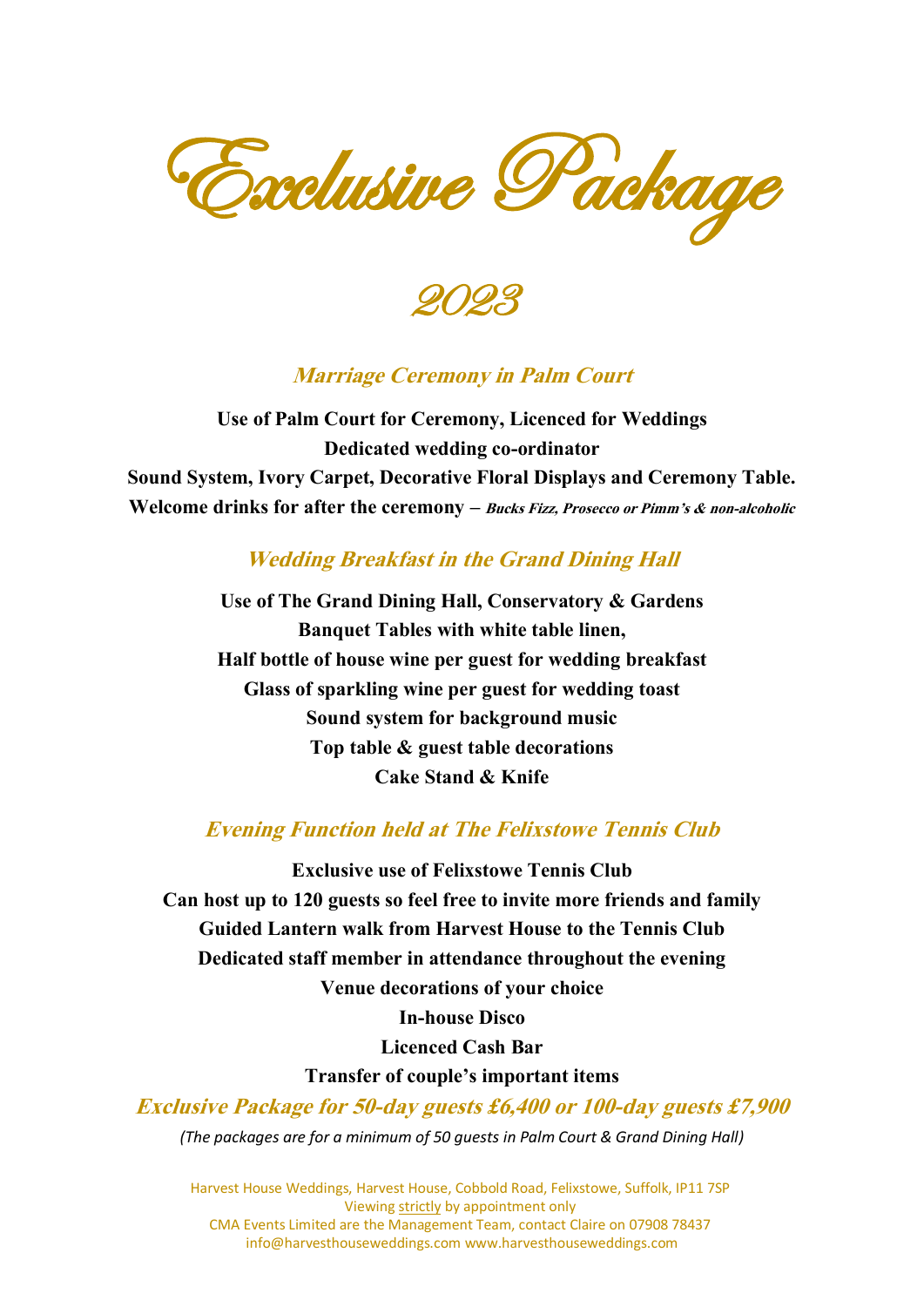Exclusive Package

2023

#### **Marriage Ceremony in Palm Court**

Use of Palm Court for Ceremony, Licenced for Weddings Dedicated wedding co-ordinator Sound System, Ivory Carpet, Decorative Floral Displays and Ceremony Table. Welcome drinks for after the ceremony  $-$  Bucks Fizz, Prosecco or Pimm's  $\&$  non-alcoholic

#### **Wedding Breakfast in the Grand Dining Hall**

Use of The Grand Dining Hall, Conservatory & Gardens Banquet Tables with white table linen, Half bottle of house wine per guest for wedding breakfast Glass of sparkling wine per guest for wedding toast Sound system for background music Top table & guest table decorations Cake Stand & Knife

#### **Evening Function held at The Felixstowe Tennis Club**

Exclusive use of Felixstowe Tennis Club Can host up to 120 guests so feel free to invite more friends and family Guided Lantern walk from Harvest House to the Tennis Club Dedicated staff member in attendance throughout the evening Venue decorations of your choice In-house Disco Licenced Cash Bar Transfer of couple's important items **Exclusive Package for 50-day guests £6,400 or 100-day guests £7,900** *(The packages are for a minimum of 50 guests in Palm Court & Grand Dining Hall)*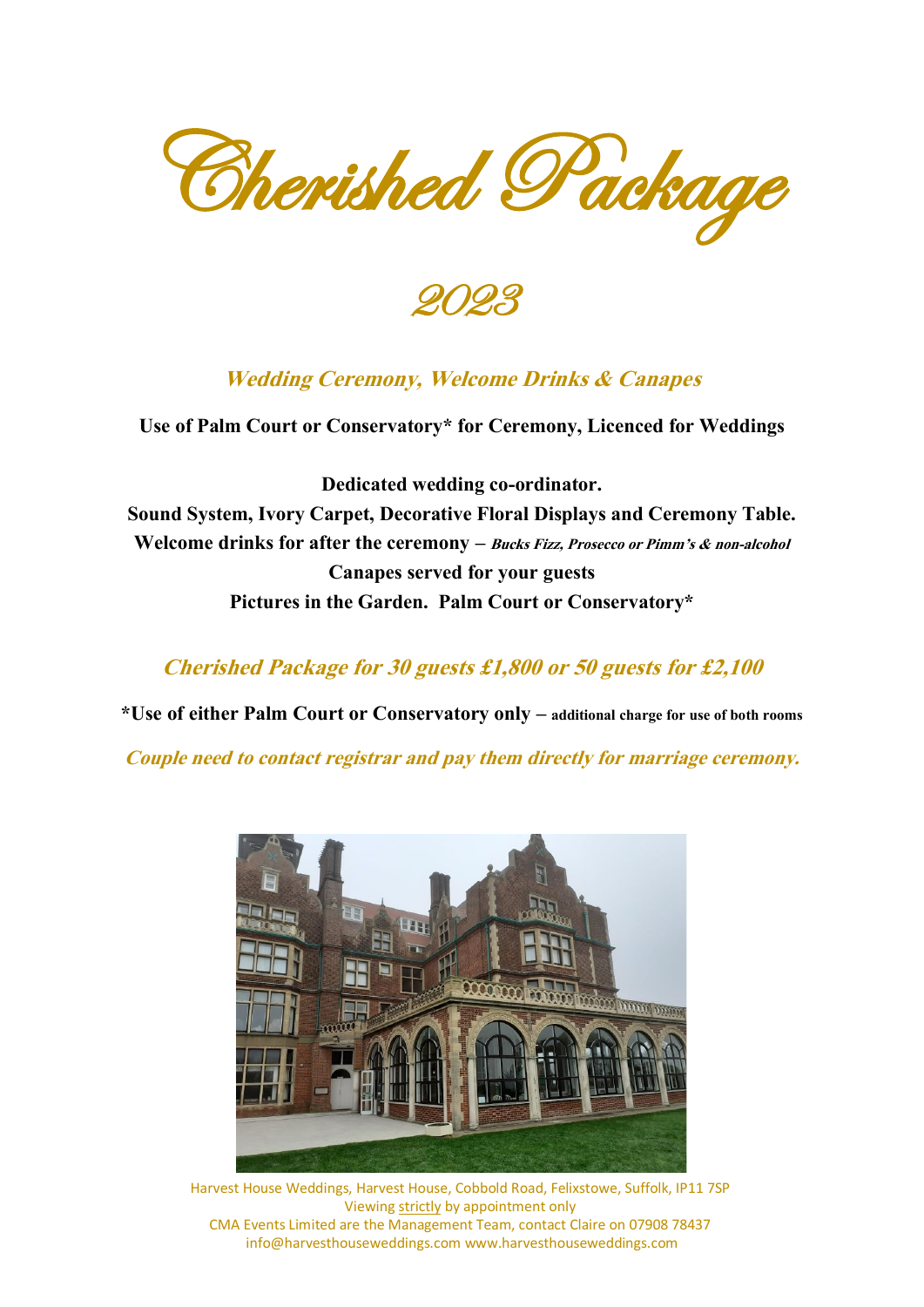Cherished Package

2023

#### **Wedding Ceremony, Welcome Drinks & Canapes**

Use of Palm Court or Conservatory\* for Ceremony, Licenced for Weddings

Dedicated wedding co-ordinator. Sound System, Ivory Carpet, Decorative Floral Displays and Ceremony Table. Welcome drinks for after the ceremony – Bucks Fizz, Prosecco or Pimm's & non-alcohol Canapes served for your guests Pictures in the Garden. Palm Court or Conservatory\*

#### **Cherished Package for 30 guests £1,800 or 50 guests for £2,100**

\*Use of either Palm Court or Conservatory only – additional charge for use of both rooms

Couple need to contact registrar and pay them directly for marriage ceremony.

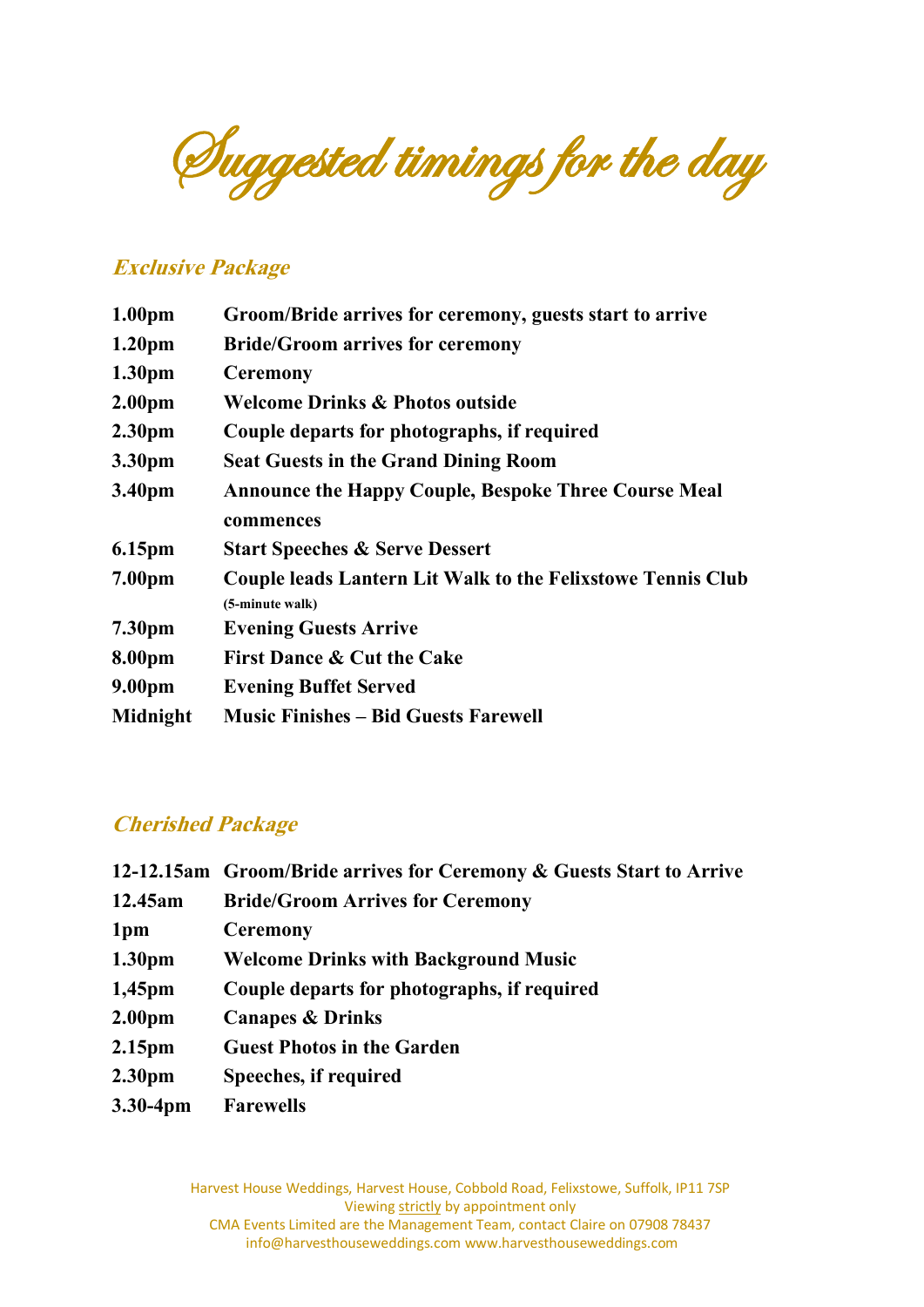Suggested timings for the day

#### **Exclusive Package**

| 1.00 <sub>pm</sub> | Groom/Bride arrives for ceremony, guests start to arrive           |
|--------------------|--------------------------------------------------------------------|
| 1.20 <sub>pm</sub> | <b>Bride/Groom arrives for ceremony</b>                            |
| 1.30 <sub>pm</sub> | <b>Ceremony</b>                                                    |
| 2.00 <sub>pm</sub> | <b>Welcome Drinks &amp; Photos outside</b>                         |
| 2.30 <sub>pm</sub> | Couple departs for photographs, if required                        |
| 3.30pm             | <b>Seat Guests in the Grand Dining Room</b>                        |
| 3.40pm             | <b>Announce the Happy Couple, Bespoke Three Course Meal</b>        |
|                    | commences                                                          |
| 6.15pm             | <b>Start Speeches &amp; Serve Dessert</b>                          |
| 7.00 <sub>pm</sub> | <b>Couple leads Lantern Lit Walk to the Felixstowe Tennis Club</b> |
|                    | (5-minute walk)                                                    |
| 7.30pm             | <b>Evening Guests Arrive</b>                                       |
| 8.00pm             | <b>First Dance &amp; Cut the Cake</b>                              |
| 9.00pm             | <b>Evening Buffet Served</b>                                       |
| <b>Midnight</b>    | <b>Music Finishes – Bid Guests Farewell</b>                        |

#### **Cherished Package**

|                    | 12-12.15am Groom/Bride arrives for Ceremony & Guests Start to Arrive |
|--------------------|----------------------------------------------------------------------|
| 12.45am            | <b>Bride/Groom Arrives for Ceremony</b>                              |
| 1 <sub>pm</sub>    | <b>Ceremony</b>                                                      |
| 1.30 <sub>pm</sub> | <b>Welcome Drinks with Background Music</b>                          |
| $1,45$ pm          | Couple departs for photographs, if required                          |
| 2.00 <sub>pm</sub> | <b>Canapes &amp; Drinks</b>                                          |
| 2.15 <sub>pm</sub> | <b>Guest Photos in the Garden</b>                                    |
| 2.30 <sub>pm</sub> | Speeches, if required                                                |
| 3.30-4pm           | <b>Farewells</b>                                                     |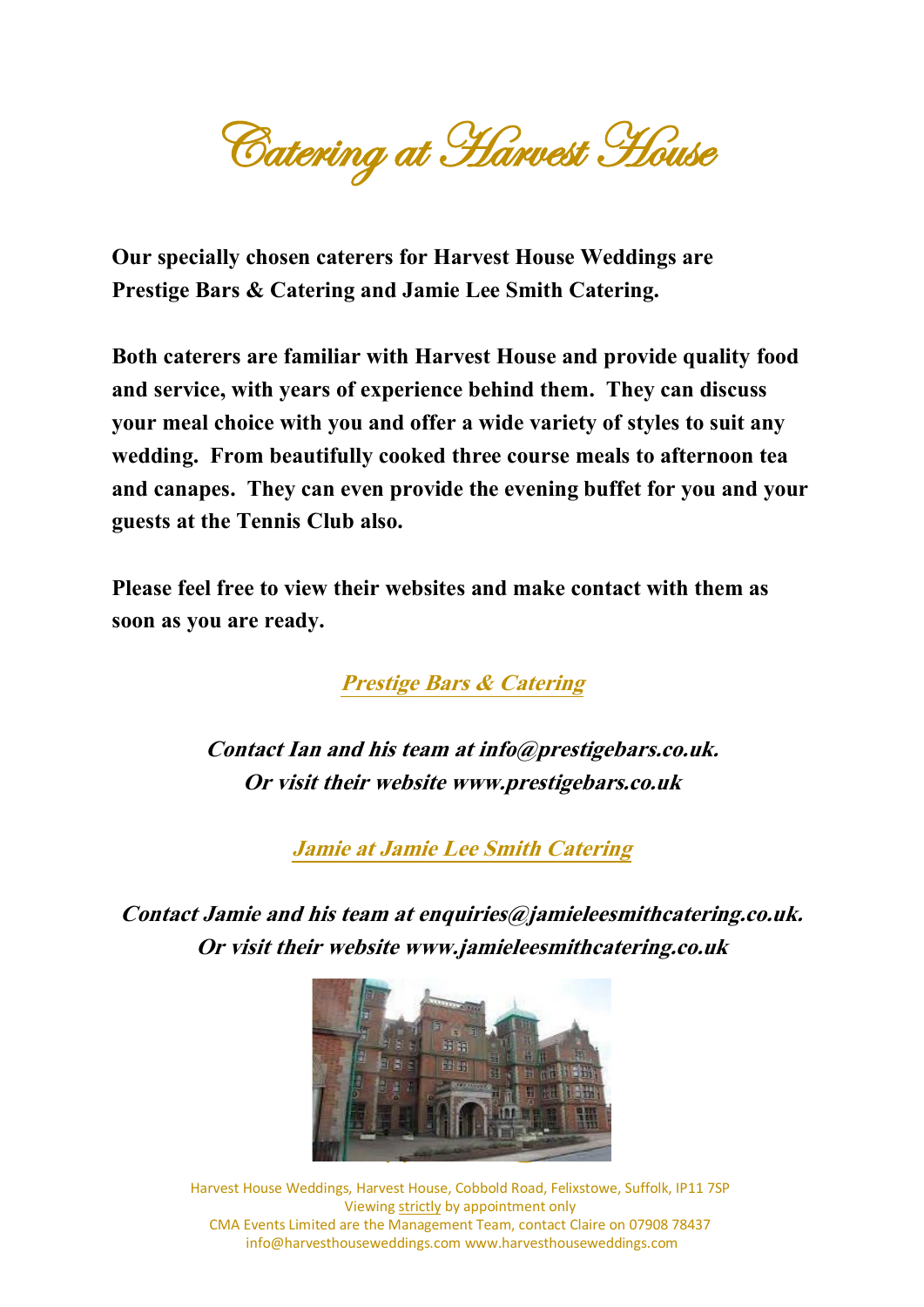**Catering at Harvest House** 

Our specially chosen caterers for Harvest House Weddings are Prestige Bars & Catering and Jamie Lee Smith Catering.

Both caterers are familiar with Harvest House and provide quality food and service, with years of experience behind them. They can discuss your meal choice with you and offer a wide variety of styles to suit any wedding. From beautifully cooked three course meals to afternoon tea and canapes. They can even provide the evening buffet for you and your guests at the Tennis Club also.

Please feel free to view their websites and make contact with them as soon as you are ready.

Prestige Bars & Catering

Contact Ian and his team at info@prestigebars.co.uk. Or visit their website www.prestigebars.co.uk

Jamie at Jamie Lee Smith Catering

Contact Jamie and his team at enquiries@jamieleesmithcatering.co.uk. Or visit their website www.jamieleesmithcatering.co.uk